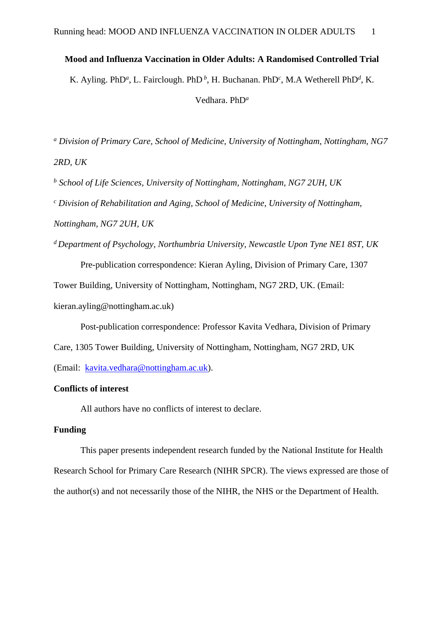## **Mood and Influenza Vaccination in Older Adults: A Randomised Controlled Trial**

K. Ayling. PhD<sup>*a*</sup>, L. Fairclough. PhD<sup>*b*</sup>, H. Buchanan. PhD<sup>*c*</sup>, M.A Wetherell PhD<sup>*d*</sup>, K.

Vedhara. PhD*<sup>a</sup>*

*<sup>a</sup> Division of Primary Care, School of Medicine, University of Nottingham, Nottingham, NG7 2RD, UK*

*<sup>b</sup> School of Life Sciences, University of Nottingham, Nottingham, NG7 2UH, UK*

*<sup>c</sup> Division of Rehabilitation and Aging, School of Medicine, University of Nottingham, Nottingham, NG7 2UH, UK*

*<sup>d</sup>Department of Psychology, Northumbria University, Newcastle Upon Tyne NE1 8ST, UK* Pre-publication correspondence: Kieran Ayling, Division of Primary Care, 1307

Tower Building, University of Nottingham, Nottingham, NG7 2RD, UK. (Email:

kieran.ayling@nottingham.ac.uk)

Post-publication correspondence: Professor Kavita Vedhara, Division of Primary

Care, 1305 Tower Building, University of Nottingham, Nottingham, NG7 2RD, UK

(Email: [kavita.vedhara@nottingham.ac.uk\)](mailto:kavita.vedhara@nottingham.ac.uk).

# **Conflicts of interest**

All authors have no conflicts of interest to declare.

# **Funding**

This paper presents independent research funded by the National Institute for Health Research School for Primary Care Research (NIHR SPCR). The views expressed are those of the author(s) and not necessarily those of the NIHR, the NHS or the Department of Health.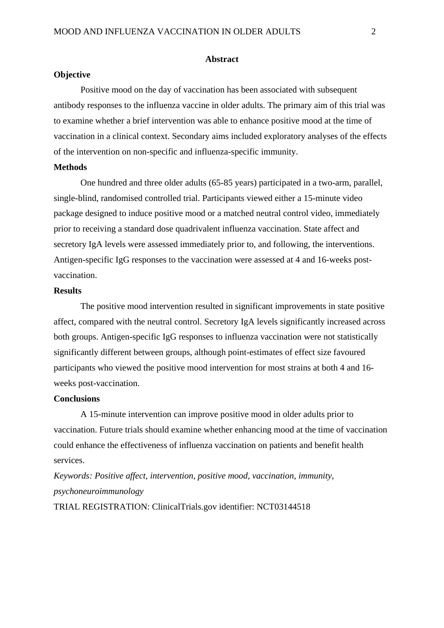### **Abstract**

### **Objective**

Positive mood on the day of vaccination has been associated with subsequent antibody responses to the influenza vaccine in older adults. The primary aim of this trial was to examine whether a brief intervention was able to enhance positive mood at the time of vaccination in a clinical context. Secondary aims included exploratory analyses of the effects of the intervention on non-specific and influenza-specific immunity.

#### **Methods**

One hundred and three older adults (65-85 years) participated in a two-arm, parallel, single-blind, randomised controlled trial. Participants viewed either a 15-minute video package designed to induce positive mood or a matched neutral control video, immediately prior to receiving a standard dose quadrivalent influenza vaccination. State affect and secretory IgA levels were assessed immediately prior to, and following, the interventions. Antigen-specific IgG responses to the vaccination were assessed at 4 and 16-weeks postvaccination.

## **Results**

The positive mood intervention resulted in significant improvements in state positive affect, compared with the neutral control. Secretory IgA levels significantly increased across both groups. Antigen-specific IgG responses to influenza vaccination were not statistically significantly different between groups, although point-estimates of effect size favoured participants who viewed the positive mood intervention for most strains at both 4 and 16 weeks post-vaccination.

# **Conclusions**

A 15-minute intervention can improve positive mood in older adults prior to vaccination. Future trials should examine whether enhancing mood at the time of vaccination could enhance the effectiveness of influenza vaccination on patients and benefit health services.

*Keywords: Positive affect, intervention, positive mood, vaccination, immunity, psychoneuroimmunology*

TRIAL REGISTRATION: ClinicalTrials.gov identifier: NCT03144518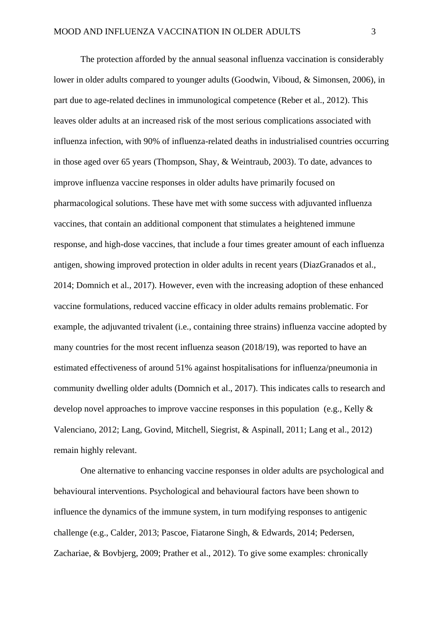The protection afforded by the annual seasonal influenza vaccination is considerably lower in older adults compared to younger adults (Goodwin, Viboud, & Simonsen, 2006), in part due to age-related declines in immunological competence (Reber et al., 2012). This leaves older adults at an increased risk of the most serious complications associated with influenza infection, with 90% of influenza-related deaths in industrialised countries occurring in those aged over 65 years (Thompson, Shay, & Weintraub, 2003). To date, advances to improve influenza vaccine responses in older adults have primarily focused on pharmacological solutions. These have met with some success with adjuvanted influenza vaccines, that contain an additional component that stimulates a heightened immune response, and high-dose vaccines, that include a four times greater amount of each influenza antigen, showing improved protection in older adults in recent years (DiazGranados et al., 2014; Domnich et al., 2017). However, even with the increasing adoption of these enhanced vaccine formulations, reduced vaccine efficacy in older adults remains problematic. For example, the adjuvanted trivalent (i.e., containing three strains) influenza vaccine adopted by many countries for the most recent influenza season (2018/19), was reported to have an estimated effectiveness of around 51% against hospitalisations for influenza/pneumonia in community dwelling older adults (Domnich et al., 2017). This indicates calls to research and develop novel approaches to improve vaccine responses in this population (e.g., Kelly & Valenciano, 2012; Lang, Govind, Mitchell, Siegrist, & Aspinall, 2011; Lang et al., 2012) remain highly relevant.

One alternative to enhancing vaccine responses in older adults are psychological and behavioural interventions. Psychological and behavioural factors have been shown to influence the dynamics of the immune system, in turn modifying responses to antigenic challenge (e.g., Calder, 2013; Pascoe, Fiatarone Singh, & Edwards, 2014; Pedersen, Zachariae, & Bovbjerg, 2009; Prather et al., 2012). To give some examples: chronically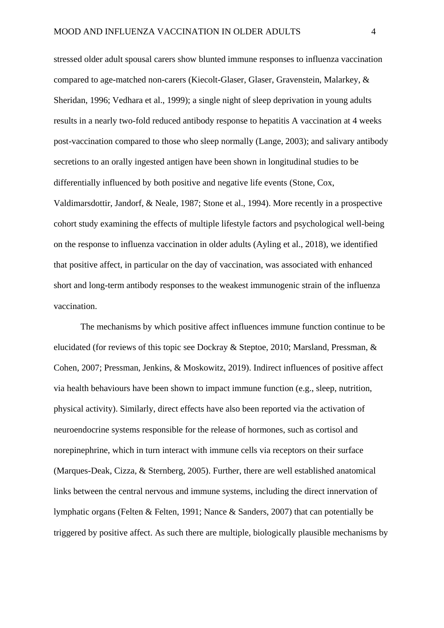stressed older adult spousal carers show blunted immune responses to influenza vaccination compared to age-matched non-carers (Kiecolt-Glaser, Glaser, Gravenstein, Malarkey, & Sheridan, 1996; Vedhara et al., 1999); a single night of sleep deprivation in young adults results in a nearly two-fold reduced antibody response to hepatitis A vaccination at 4 weeks post-vaccination compared to those who sleep normally (Lange, 2003); and salivary antibody secretions to an orally ingested antigen have been shown in longitudinal studies to be differentially influenced by both positive and negative life events (Stone, Cox, Valdimarsdottir, Jandorf, & Neale, 1987; Stone et al., 1994). More recently in a prospective cohort study examining the effects of multiple lifestyle factors and psychological well-being on the response to influenza vaccination in older adults (Ayling et al., 2018), we identified that positive affect, in particular on the day of vaccination, was associated with enhanced short and long-term antibody responses to the weakest immunogenic strain of the influenza vaccination.

The mechanisms by which positive affect influences immune function continue to be elucidated (for reviews of this topic see Dockray & Steptoe, 2010; Marsland, Pressman, & Cohen, 2007; Pressman, Jenkins, & Moskowitz, 2019). Indirect influences of positive affect via health behaviours have been shown to impact immune function (e.g., sleep, nutrition, physical activity). Similarly, direct effects have also been reported via the activation of neuroendocrine systems responsible for the release of hormones, such as cortisol and norepinephrine, which in turn interact with immune cells via receptors on their surface (Marques-Deak, Cizza, & Sternberg, 2005). Further, there are well established anatomical links between the central nervous and immune systems, including the direct innervation of lymphatic organs (Felten & Felten, 1991; Nance & Sanders, 2007) that can potentially be triggered by positive affect. As such there are multiple, biologically plausible mechanisms by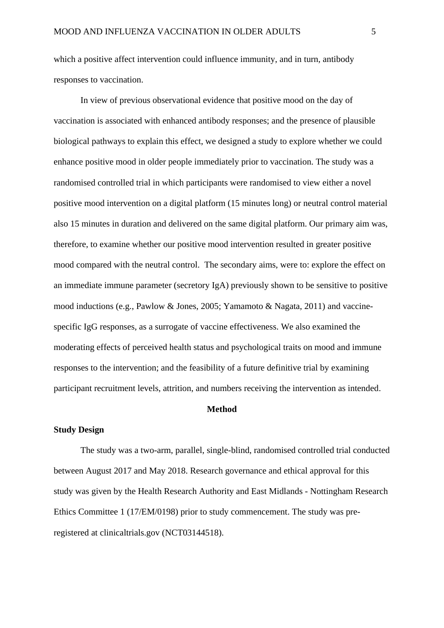which a positive affect intervention could influence immunity, and in turn, antibody responses to vaccination.

In view of previous observational evidence that positive mood on the day of vaccination is associated with enhanced antibody responses; and the presence of plausible biological pathways to explain this effect, we designed a study to explore whether we could enhance positive mood in older people immediately prior to vaccination. The study was a randomised controlled trial in which participants were randomised to view either a novel positive mood intervention on a digital platform (15 minutes long) or neutral control material also 15 minutes in duration and delivered on the same digital platform. Our primary aim was, therefore, to examine whether our positive mood intervention resulted in greater positive mood compared with the neutral control. The secondary aims, were to: explore the effect on an immediate immune parameter (secretory IgA) previously shown to be sensitive to positive mood inductions (e.g., Pawlow & Jones, 2005; Yamamoto & Nagata, 2011) and vaccinespecific IgG responses, as a surrogate of vaccine effectiveness. We also examined the moderating effects of perceived health status and psychological traits on mood and immune responses to the intervention; and the feasibility of a future definitive trial by examining participant recruitment levels, attrition, and numbers receiving the intervention as intended.

#### **Method**

## **Study Design**

The study was a two-arm, parallel, single-blind, randomised controlled trial conducted between August 2017 and May 2018. Research governance and ethical approval for this study was given by the Health Research Authority and East Midlands - Nottingham Research Ethics Committee 1 (17/EM/0198) prior to study commencement. The study was preregistered at clinicaltrials.gov (NCT03144518).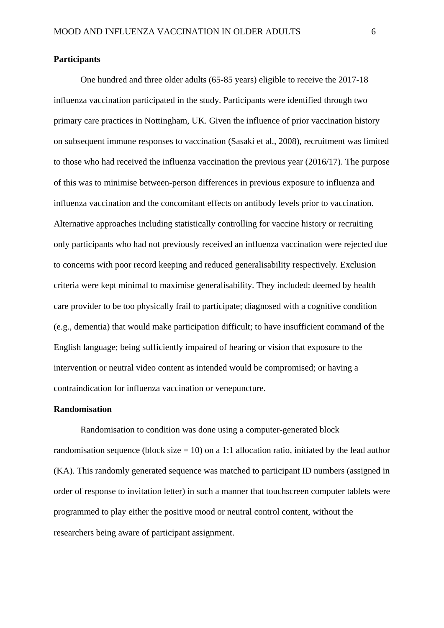### **Participants**

One hundred and three older adults (65-85 years) eligible to receive the 2017-18 influenza vaccination participated in the study. Participants were identified through two primary care practices in Nottingham, UK. Given the influence of prior vaccination history on subsequent immune responses to vaccination (Sasaki et al., 2008), recruitment was limited to those who had received the influenza vaccination the previous year (2016/17). The purpose of this was to minimise between-person differences in previous exposure to influenza and influenza vaccination and the concomitant effects on antibody levels prior to vaccination. Alternative approaches including statistically controlling for vaccine history or recruiting only participants who had not previously received an influenza vaccination were rejected due to concerns with poor record keeping and reduced generalisability respectively. Exclusion criteria were kept minimal to maximise generalisability. They included: deemed by health care provider to be too physically frail to participate; diagnosed with a cognitive condition (e.g., dementia) that would make participation difficult; to have insufficient command of the English language; being sufficiently impaired of hearing or vision that exposure to the intervention or neutral video content as intended would be compromised; or having a contraindication for influenza vaccination or venepuncture.

## **Randomisation**

Randomisation to condition was done using a computer-generated block randomisation sequence (block size  $= 10$ ) on a 1:1 allocation ratio, initiated by the lead author (KA). This randomly generated sequence was matched to participant ID numbers (assigned in order of response to invitation letter) in such a manner that touchscreen computer tablets were programmed to play either the positive mood or neutral control content, without the researchers being aware of participant assignment.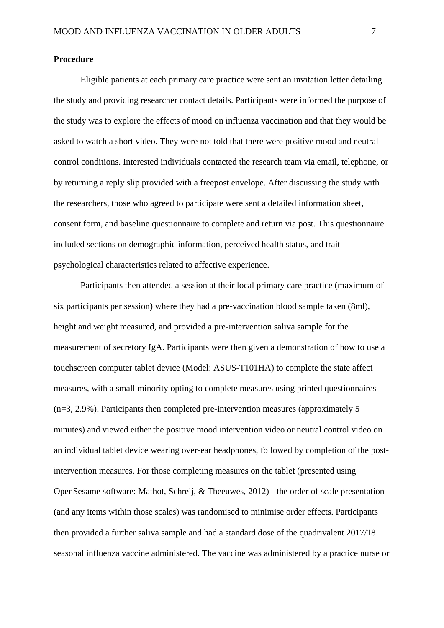#### **Procedure**

Eligible patients at each primary care practice were sent an invitation letter detailing the study and providing researcher contact details. Participants were informed the purpose of the study was to explore the effects of mood on influenza vaccination and that they would be asked to watch a short video. They were not told that there were positive mood and neutral control conditions. Interested individuals contacted the research team via email, telephone, or by returning a reply slip provided with a freepost envelope. After discussing the study with the researchers, those who agreed to participate were sent a detailed information sheet, consent form, and baseline questionnaire to complete and return via post. This questionnaire included sections on demographic information, perceived health status, and trait psychological characteristics related to affective experience.

Participants then attended a session at their local primary care practice (maximum of six participants per session) where they had a pre-vaccination blood sample taken (8ml), height and weight measured, and provided a pre-intervention saliva sample for the measurement of secretory IgA. Participants were then given a demonstration of how to use a touchscreen computer tablet device (Model: ASUS-T101HA) to complete the state affect measures, with a small minority opting to complete measures using printed questionnaires (n=3, 2.9%). Participants then completed pre-intervention measures (approximately 5 minutes) and viewed either the positive mood intervention video or neutral control video on an individual tablet device wearing over-ear headphones, followed by completion of the postintervention measures. For those completing measures on the tablet (presented using OpenSesame software: Mathot, Schreij, & Theeuwes, 2012) - the order of scale presentation (and any items within those scales) was randomised to minimise order effects. Participants then provided a further saliva sample and had a standard dose of the quadrivalent 2017/18 seasonal influenza vaccine administered. The vaccine was administered by a practice nurse or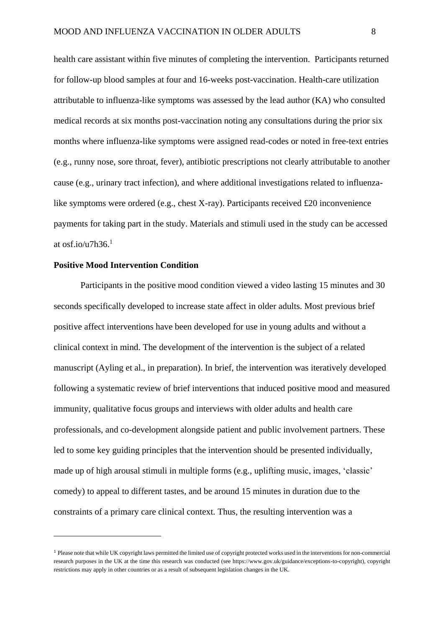health care assistant within five minutes of completing the intervention. Participants returned for follow-up blood samples at four and 16-weeks post-vaccination. Health-care utilization attributable to influenza-like symptoms was assessed by the lead author (KA) who consulted medical records at six months post-vaccination noting any consultations during the prior six months where influenza-like symptoms were assigned read-codes or noted in free-text entries (e.g., runny nose, sore throat, fever), antibiotic prescriptions not clearly attributable to another cause (e.g., urinary tract infection), and where additional investigations related to influenzalike symptoms were ordered (e.g., chest X-ray). Participants received £20 inconvenience payments for taking part in the study. Materials and stimuli used in the study can be accessed

at osf.io/u7h36. 1

1

## **Positive Mood Intervention Condition**

Participants in the positive mood condition viewed a video lasting 15 minutes and 30 seconds specifically developed to increase state affect in older adults. Most previous brief positive affect interventions have been developed for use in young adults and without a clinical context in mind. The development of the intervention is the subject of a related manuscript (Ayling et al., in preparation). In brief, the intervention was iteratively developed following a systematic review of brief interventions that induced positive mood and measured immunity, qualitative focus groups and interviews with older adults and health care professionals, and co-development alongside patient and public involvement partners. These led to some key guiding principles that the intervention should be presented individually, made up of high arousal stimuli in multiple forms (e.g., uplifting music, images, 'classic' comedy) to appeal to different tastes, and be around 15 minutes in duration due to the constraints of a primary care clinical context. Thus, the resulting intervention was a

<sup>1</sup> Please note that while UK copyright laws permitted the limited use of copyright protected works used in the interventions for non-commercial research purposes in the UK at the time this research was conducted (see https://www.gov.uk/guidance/exceptions-to-copyright), copyright restrictions may apply in other countries or as a result of subsequent legislation changes in the UK.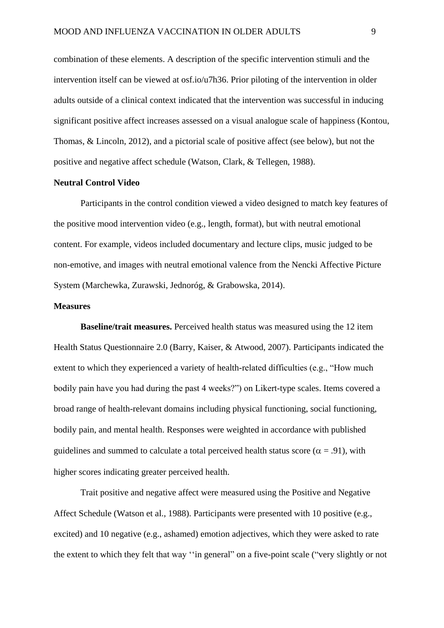combination of these elements. A description of the specific intervention stimuli and the intervention itself can be viewed at osf.io/u7h36. Prior piloting of the intervention in older adults outside of a clinical context indicated that the intervention was successful in inducing significant positive affect increases assessed on a visual analogue scale of happiness (Kontou, Thomas, & Lincoln, 2012), and a pictorial scale of positive affect (see below), but not the positive and negative affect schedule (Watson, Clark, & Tellegen, 1988).

### **Neutral Control Video**

Participants in the control condition viewed a video designed to match key features of the positive mood intervention video (e.g., length, format), but with neutral emotional content. For example, videos included documentary and lecture clips, music judged to be non-emotive, and images with neutral emotional valence from the Nencki Affective Picture System (Marchewka, Zurawski, Jednoróg, & Grabowska, 2014).

## **Measures**

**Baseline/trait measures.** Perceived health status was measured using the 12 item Health Status Questionnaire 2.0 (Barry, Kaiser, & Atwood, 2007). Participants indicated the extent to which they experienced a variety of health-related difficulties (e.g., "How much bodily pain have you had during the past 4 weeks?") on Likert-type scales. Items covered a broad range of health-relevant domains including physical functioning, social functioning, bodily pain, and mental health. Responses were weighted in accordance with published guidelines and summed to calculate a total perceived health status score ( $\alpha = .91$ ), with higher scores indicating greater perceived health.

Trait positive and negative affect were measured using the Positive and Negative Affect Schedule (Watson et al., 1988). Participants were presented with 10 positive (e.g., excited) and 10 negative (e.g., ashamed) emotion adjectives, which they were asked to rate the extent to which they felt that way ''in general" on a five-point scale ("very slightly or not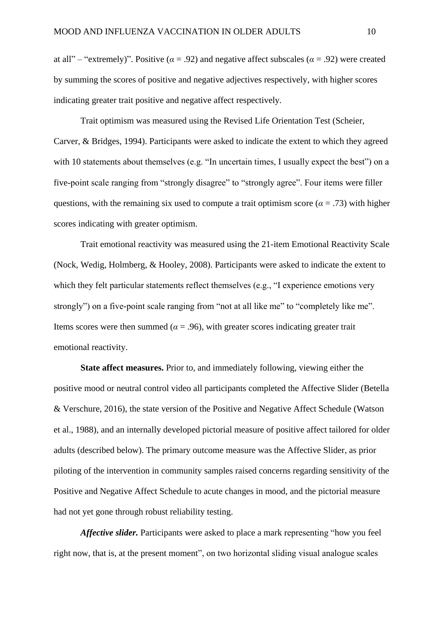at all" – "extremely)". Positive ( $\alpha$  = .92) and negative affect subscales ( $\alpha$  = .92) were created by summing the scores of positive and negative adjectives respectively, with higher scores indicating greater trait positive and negative affect respectively.

Trait optimism was measured using the Revised Life Orientation Test (Scheier, Carver, & Bridges, 1994). Participants were asked to indicate the extent to which they agreed with 10 statements about themselves (e.g. "In uncertain times, I usually expect the best") on a five-point scale ranging from "strongly disagree" to "strongly agree". Four items were filler questions, with the remaining six used to compute a trait optimism score ( $\alpha = .73$ ) with higher scores indicating with greater optimism.

Trait emotional reactivity was measured using the 21-item Emotional Reactivity Scale (Nock, Wedig, Holmberg, & Hooley, 2008). Participants were asked to indicate the extent to which they felt particular statements reflect themselves (e.g., "I experience emotions very strongly") on a five-point scale ranging from "not at all like me" to "completely like me". Items scores were then summed ( $\alpha = .96$ ), with greater scores indicating greater trait emotional reactivity.

**State affect measures.** Prior to, and immediately following, viewing either the positive mood or neutral control video all participants completed the Affective Slider (Betella & Verschure, 2016), the state version of the Positive and Negative Affect Schedule (Watson et al., 1988), and an internally developed pictorial measure of positive affect tailored for older adults (described below). The primary outcome measure was the Affective Slider, as prior piloting of the intervention in community samples raised concerns regarding sensitivity of the Positive and Negative Affect Schedule to acute changes in mood, and the pictorial measure had not yet gone through robust reliability testing.

*Affective slider.* Participants were asked to place a mark representing "how you feel right now, that is, at the present moment", on two horizontal sliding visual analogue scales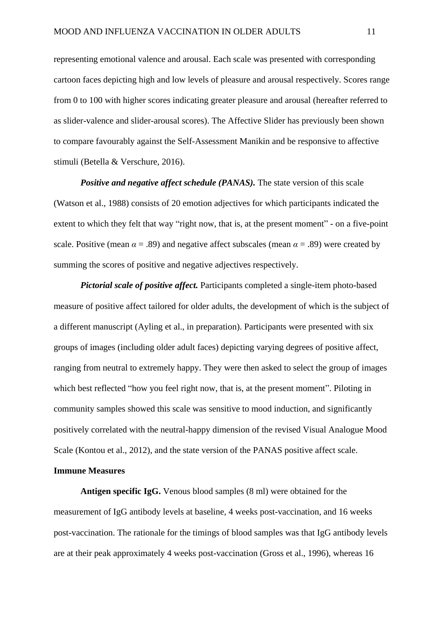representing emotional valence and arousal. Each scale was presented with corresponding cartoon faces depicting high and low levels of pleasure and arousal respectively. Scores range from 0 to 100 with higher scores indicating greater pleasure and arousal (hereafter referred to as slider-valence and slider-arousal scores). The Affective Slider has previously been shown to compare favourably against the Self-Assessment Manikin and be responsive to affective stimuli (Betella & Verschure, 2016).

*Positive and negative affect schedule (PANAS).* The state version of this scale (Watson et al., 1988) consists of 20 emotion adjectives for which participants indicated the extent to which they felt that way "right now, that is, at the present moment" - on a five-point scale. Positive (mean  $\alpha = .89$ ) and negative affect subscales (mean  $\alpha = .89$ ) were created by summing the scores of positive and negative adjectives respectively.

*Pictorial scale of positive affect.* Participants completed a single-item photo-based measure of positive affect tailored for older adults, the development of which is the subject of a different manuscript (Ayling et al., in preparation). Participants were presented with six groups of images (including older adult faces) depicting varying degrees of positive affect, ranging from neutral to extremely happy. They were then asked to select the group of images which best reflected "how you feel right now, that is, at the present moment". Piloting in community samples showed this scale was sensitive to mood induction, and significantly positively correlated with the neutral-happy dimension of the revised Visual Analogue Mood Scale (Kontou et al., 2012), and the state version of the PANAS positive affect scale.

# **Immune Measures**

**Antigen specific IgG.** Venous blood samples (8 ml) were obtained for the measurement of IgG antibody levels at baseline, 4 weeks post-vaccination, and 16 weeks post-vaccination. The rationale for the timings of blood samples was that IgG antibody levels are at their peak approximately 4 weeks post-vaccination (Gross et al., 1996), whereas 16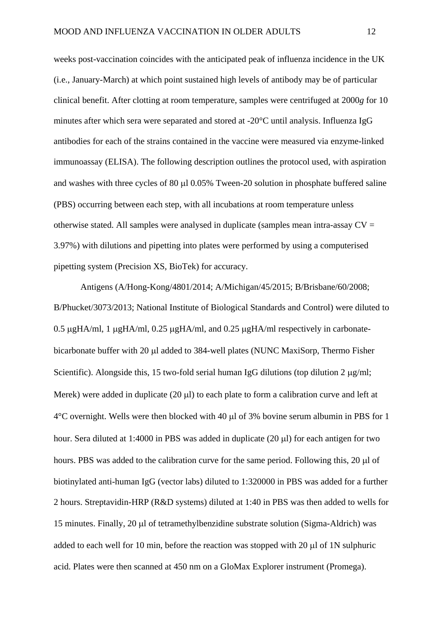weeks post-vaccination coincides with the anticipated peak of influenza incidence in the UK (i.e., January-March) at which point sustained high levels of antibody may be of particular clinical benefit. After clotting at room temperature, samples were centrifuged at 2000*g* for 10 minutes after which sera were separated and stored at -20°C until analysis. Influenza IgG antibodies for each of the strains contained in the vaccine were measured via enzyme-linked immunoassay (ELISA). The following description outlines the protocol used, with aspiration and washes with three cycles of 80  $\mu$ l 0.05% Tween-20 solution in phosphate buffered saline (PBS) occurring between each step, with all incubations at room temperature unless otherwise stated. All samples were analysed in duplicate (samples mean intra-assay  $CV =$ 3.97%) with dilutions and pipetting into plates were performed by using a computerised pipetting system (Precision XS, BioTek) for accuracy.

Antigens (A/Hong-Kong/4801/2014; A/Michigan/45/2015; B/Brisbane/60/2008; B/Phucket/3073/2013; National Institute of Biological Standards and Control) were diluted to 0.5 µgHA/ml, 1 µgHA/ml, 0.25 µgHA/ml, and 0.25 µgHA/ml respectively in carbonatebicarbonate buffer with 20 µl added to 384-well plates (NUNC MaxiSorp, Thermo Fisher Scientific). Alongside this, 15 two-fold serial human IgG dilutions (top dilution 2  $\mu$ g/ml; Merek) were added in duplicate  $(20 \mu l)$  to each plate to form a calibration curve and left at  $4^{\circ}$ C overnight. Wells were then blocked with 40  $\mu$ l of 3% bovine serum albumin in PBS for 1 hour. Sera diluted at 1:4000 in PBS was added in duplicate  $(20 \mu l)$  for each antigen for two hours. PBS was added to the calibration curve for the same period. Following this, 20 µl of biotinylated anti-human IgG (vector labs) diluted to 1:320000 in PBS was added for a further 2 hours. Streptavidin-HRP (R&D systems) diluted at 1:40 in PBS was then added to wells for 15 minutes. Finally,  $20 \mu l$  of tetramethylbenzidine substrate solution (Sigma-Aldrich) was added to each well for 10 min, before the reaction was stopped with 20  $\mu$ l of 1N sulphuric acid. Plates were then scanned at 450 nm on a GloMax Explorer instrument (Promega).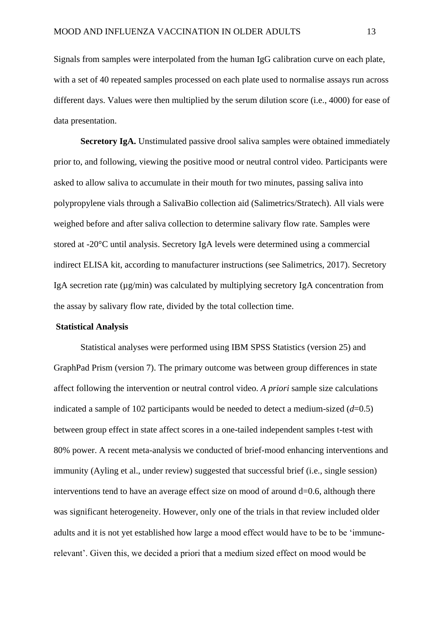Signals from samples were interpolated from the human IgG calibration curve on each plate, with a set of 40 repeated samples processed on each plate used to normalise assays run across different days. Values were then multiplied by the serum dilution score (i.e., 4000) for ease of data presentation.

**Secretory IgA.** Unstimulated passive drool saliva samples were obtained immediately prior to, and following, viewing the positive mood or neutral control video. Participants were asked to allow saliva to accumulate in their mouth for two minutes, passing saliva into polypropylene vials through a SalivaBio collection aid (Salimetrics/Stratech). All vials were weighed before and after saliva collection to determine salivary flow rate. Samples were stored at -20°C until analysis. Secretory IgA levels were determined using a commercial indirect ELISA kit, according to manufacturer instructions (see Salimetrics, 2017). Secretory IgA secretion rate  $(\mu g/min)$  was calculated by multiplying secretory IgA concentration from the assay by salivary flow rate, divided by the total collection time.

## **Statistical Analysis**

Statistical analyses were performed using IBM SPSS Statistics (version 25) and GraphPad Prism (version 7). The primary outcome was between group differences in state affect following the intervention or neutral control video. *A priori* sample size calculations indicated a sample of 102 participants would be needed to detect a medium-sized  $(d=0.5)$ between group effect in state affect scores in a one-tailed independent samples t-test with 80% power. A recent meta-analysis we conducted of brief-mood enhancing interventions and immunity (Ayling et al., under review) suggested that successful brief (i.e., single session) interventions tend to have an average effect size on mood of around  $d=0.6$ , although there was significant heterogeneity. However, only one of the trials in that review included older adults and it is not yet established how large a mood effect would have to be to be 'immunerelevant'. Given this, we decided a priori that a medium sized effect on mood would be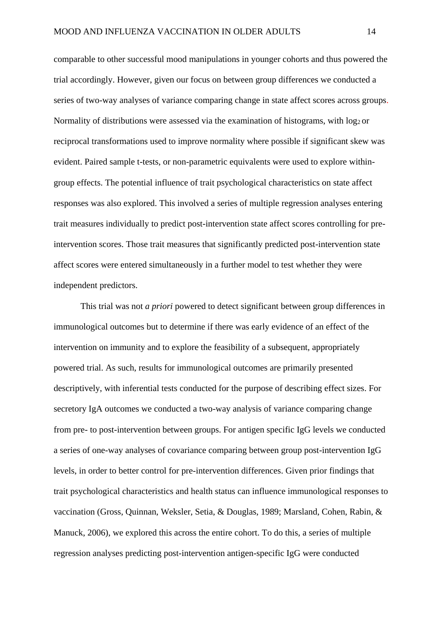comparable to other successful mood manipulations in younger cohorts and thus powered the trial accordingly. However, given our focus on between group differences we conducted a series of two-way analyses of variance comparing change in state affect scores across groups. Normality of distributions were assessed via the examination of histograms, with log<sub>2</sub> or reciprocal transformations used to improve normality where possible if significant skew was evident. Paired sample t-tests, or non-parametric equivalents were used to explore withingroup effects. The potential influence of trait psychological characteristics on state affect responses was also explored. This involved a series of multiple regression analyses entering trait measures individually to predict post-intervention state affect scores controlling for preintervention scores. Those trait measures that significantly predicted post-intervention state affect scores were entered simultaneously in a further model to test whether they were independent predictors.

This trial was not *a priori* powered to detect significant between group differences in immunological outcomes but to determine if there was early evidence of an effect of the intervention on immunity and to explore the feasibility of a subsequent, appropriately powered trial. As such, results for immunological outcomes are primarily presented descriptively, with inferential tests conducted for the purpose of describing effect sizes. For secretory IgA outcomes we conducted a two-way analysis of variance comparing change from pre- to post-intervention between groups. For antigen specific IgG levels we conducted a series of one-way analyses of covariance comparing between group post-intervention IgG levels, in order to better control for pre-intervention differences. Given prior findings that trait psychological characteristics and health status can influence immunological responses to vaccination (Gross, Quinnan, Weksler, Setia, & Douglas, 1989; Marsland, Cohen, Rabin, & Manuck, 2006), we explored this across the entire cohort. To do this, a series of multiple regression analyses predicting post-intervention antigen-specific IgG were conducted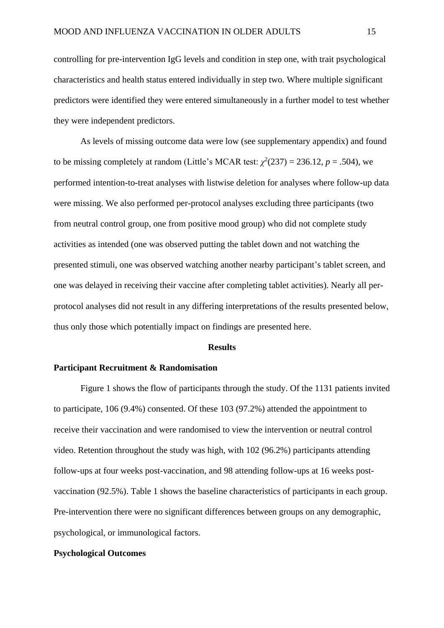controlling for pre-intervention IgG levels and condition in step one, with trait psychological characteristics and health status entered individually in step two. Where multiple significant predictors were identified they were entered simultaneously in a further model to test whether they were independent predictors.

As levels of missing outcome data were low (see supplementary appendix) and found to be missing completely at random (Little's MCAR test:  $\chi^2(237) = 236.12$ ,  $p = .504$ ), we performed intention-to-treat analyses with listwise deletion for analyses where follow-up data were missing. We also performed per-protocol analyses excluding three participants (two from neutral control group, one from positive mood group) who did not complete study activities as intended (one was observed putting the tablet down and not watching the presented stimuli, one was observed watching another nearby participant's tablet screen, and one was delayed in receiving their vaccine after completing tablet activities). Nearly all perprotocol analyses did not result in any differing interpretations of the results presented below, thus only those which potentially impact on findings are presented here.

### **Results**

#### **Participant Recruitment & Randomisation**

Figure 1 shows the flow of participants through the study. Of the 1131 patients invited to participate, 106 (9.4%) consented. Of these 103 (97.2%) attended the appointment to receive their vaccination and were randomised to view the intervention or neutral control video. Retention throughout the study was high, with 102 (96.2%) participants attending follow-ups at four weeks post-vaccination, and 98 attending follow-ups at 16 weeks postvaccination (92.5%). Table 1 shows the baseline characteristics of participants in each group. Pre-intervention there were no significant differences between groups on any demographic, psychological, or immunological factors.

# **Psychological Outcomes**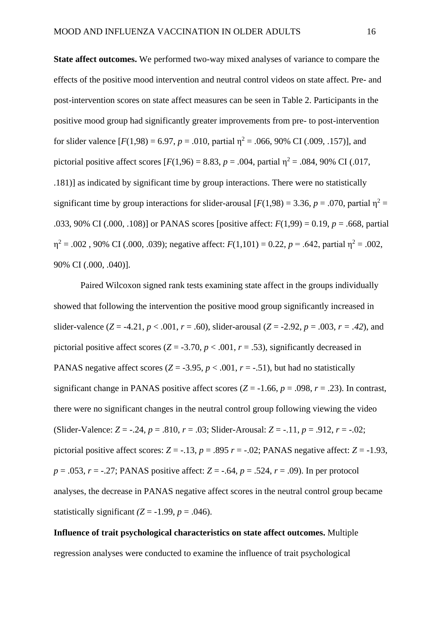**State affect outcomes.** We performed two-way mixed analyses of variance to compare the effects of the positive mood intervention and neutral control videos on state affect. Pre- and post-intervention scores on state affect measures can be seen in Table 2. Participants in the positive mood group had significantly greater improvements from pre- to post-intervention for slider valence  $[F(1,98) = 6.97, p = .010,$  partial  $\eta^2 = .066, 90\%$  CI (.009, .157)], and pictorial positive affect scores  $[F(1,96) = 8.83, p = .004,$  partial  $p^2 = .084, 90\%$  CI (.017, .181)] as indicated by significant time by group interactions. There were no statistically significant time by group interactions for slider-arousal  $[F(1,98) = 3.36, p = .070$ , partial  $p^2 =$ .033, 90% CI (.000, .108)] or PANAS scores [positive affect: *F*(1,99) = 0.19, *p* = .668, partial  $η<sup>2</sup> = .002$ , 90% CI (.000, .039); negative affect: *F*(1,101) = 0.22, *p* = .642, partial η<sup>2</sup> = .002, 90% CI (.000, .040)].

Paired Wilcoxon signed rank tests examining state affect in the groups individually showed that following the intervention the positive mood group significantly increased in slider-valence  $(Z = -4.21, p < .001, r = .60)$ , slider-arousal  $(Z = -2.92, p = .003, r = .42)$ , and pictorial positive affect scores ( $Z = -3.70$ ,  $p < .001$ ,  $r = .53$ ), significantly decreased in PANAS negative affect scores  $(Z = -3.95, p < .001, r = -.51)$ , but had no statistically significant change in PANAS positive affect scores  $(Z = -1.66, p = .098, r = .23)$ . In contrast, there were no significant changes in the neutral control group following viewing the video (Slider-Valence: *Z* = -.24, *p* = .810, *r* = .03; Slider-Arousal: *Z* = -.11, *p* = .912, *r* = -.02; pictorial positive affect scores:  $Z = -.13$ ,  $p = .895$   $r = -.02$ ; PANAS negative affect:  $Z = -1.93$ , *p* = .053, *r* = -.27; PANAS positive affect: *Z* = -.64, *p* = .524, *r* = .09). In per protocol analyses, the decrease in PANAS negative affect scores in the neutral control group became statistically significant  $(Z = -1.99, p = .046)$ .

**Influence of trait psychological characteristics on state affect outcomes.** Multiple regression analyses were conducted to examine the influence of trait psychological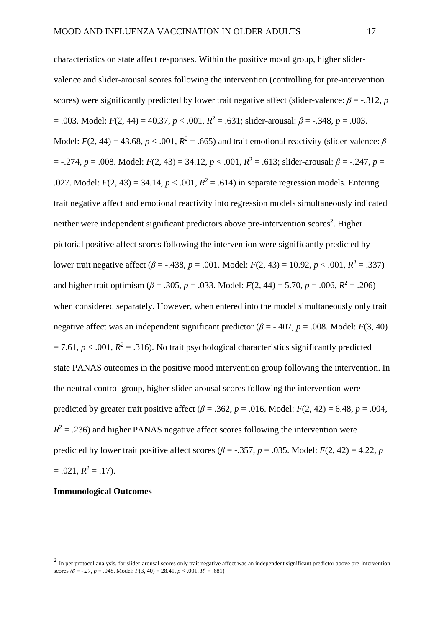characteristics on state affect responses. Within the positive mood group, higher slidervalence and slider-arousal scores following the intervention (controlling for pre-intervention scores) were significantly predicted by lower trait negative affect (slider-valence:  $\beta = -0.312$ , *p*  $= .003$ . Model:  $F(2, 44) = 40.37$ ,  $p < .001$ ,  $R^2 = .631$ ; slider-arousal:  $\beta = -.348$ ,  $p = .003$ . Model:  $F(2, 44) = 43.68$ ,  $p < .001$ ,  $R^2 = .665$ ) and trait emotional reactivity (slider-valence:  $\beta$  $=$  -.274,  $p = .008$ . Model:  $F(2, 43) = 34.12$ ,  $p < .001$ ,  $R^2 = .613$ ; slider-arousal:  $\beta = -.247$ ,  $p =$ .027. Model:  $F(2, 43) = 34.14$ ,  $p < .001$ ,  $R^2 = .614$ ) in separate regression models. Entering trait negative affect and emotional reactivity into regression models simultaneously indicated neither were independent significant predictors above pre-intervention scores<sup>2</sup>. Higher pictorial positive affect scores following the intervention were significantly predicted by lower trait negative affect ( $\beta$  = -.438,  $p$  = .001. Model:  $F(2, 43)$  = 10.92,  $p < .001$ ,  $R^2$  = .337) and higher trait optimism ( $\beta$  = .305,  $p$  = .033. Model:  $F(2, 44) = 5.70$ ,  $p = .006$ ,  $R^2 = .206$ ) when considered separately. However, when entered into the model simultaneously only trait negative affect was an independent significant predictor ( $\beta$  = -.407,  $p$  = .008. Model: *F*(3, 40)  $= 7.61, p < .001, R<sup>2</sup> = .316$ ). No trait psychological characteristics significantly predicted state PANAS outcomes in the positive mood intervention group following the intervention. In the neutral control group, higher slider-arousal scores following the intervention were predicted by greater trait positive affect ( $\beta$  = .362,  $p$  = .016. Model:  $F(2, 42)$  = 6.48,  $p$  = .004,  $R<sup>2</sup> = .236$ ) and higher PANAS negative affect scores following the intervention were predicted by lower trait positive affect scores ( $\beta$  = -.357,  $p$  = .035. Model:  $F(2, 42)$  = 4.22,  $p$  $= .021, R^2 = .17$ .

## **Immunological Outcomes**

1

 $<sup>2</sup>$  In per protocol analysis, for slider-arousal scores only trait negative affect was an independent significant predictor above pre-intervention</sup> scores  $(\beta = -.27, p = .048$ . Model:  $F(3, 40) = 28.41, p < .001, R^2 = .681$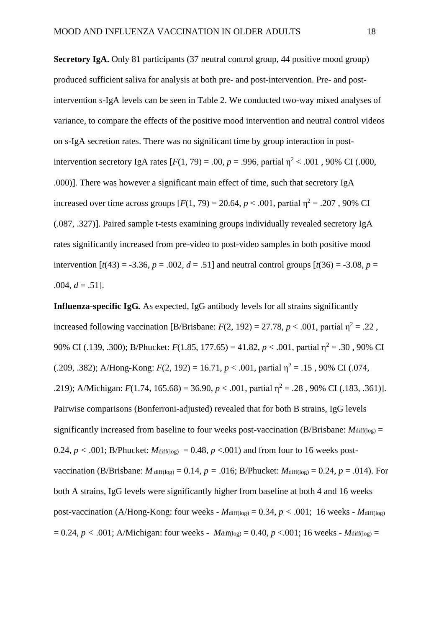**Secretory IgA.** Only 81 participants (37 neutral control group, 44 positive mood group) produced sufficient saliva for analysis at both pre- and post-intervention. Pre- and postintervention s-IgA levels can be seen in Table 2. We conducted two-way mixed analyses of variance, to compare the effects of the positive mood intervention and neutral control videos on s-IgA secretion rates. There was no significant time by group interaction in postintervention secretory IgA rates  $[F(1, 79) = .00, p = .996$ , partial  $n^2 < .001$ , 90% CI (.000, .000)]. There was however a significant main effect of time, such that secretory IgA increased over time across groups  $[F(1, 79) = 20.64, p \le 0.001$ , partial  $\eta^2 = .207$ , 90% CI (.087, .327)]. Paired sample t-tests examining groups individually revealed secretory IgA rates significantly increased from pre-video to post-video samples in both positive mood intervention  $[t(43) = -3.36, p = .002, d = .51]$  and neutral control groups  $[t(36) = -3.08, p =$  $.004, d = .51$ ].

**Influenza-specific IgG***.* As expected, IgG antibody levels for all strains significantly increased following vaccination [B/Brisbane:  $F(2, 192) = 27.78$ ,  $p < .001$ , partial  $\eta^2 = .22$ , 90% CI (.139, .300); B/Phucket: *F*(1.85, 177.65) = 41.82, *p* < .001, partial η<sup>2</sup> = .30 , 90% CI (.209, .382); A/Hong-Kong:  $F(2, 192) = 16.71$ ,  $p < .001$ , partial  $\eta^2 = .15$ , 90% CI (.074, .219); A/Michigan:  $F(1.74, 165.68) = 36.90$ ,  $p < .001$ , partial  $\eta^2 = .28$ , 90% CI (.183, .361)]. Pairwise comparisons (Bonferroni-adjusted) revealed that for both B strains, IgG levels significantly increased from baseline to four weeks post-vaccination (B/Brisbane:  $M<sub>diff(log)</sub>$ ) = 0.24,  $p < .001$ ; B/Phucket:  $M<sub>diff(log)</sub> = 0.48$ ,  $p < .001$ ) and from four to 16 weeks postvaccination (B/Brisbane: *M* diff(log) = 0.14,  $p = .016$ ; B/Phucket: *M* diff(log) = 0.24,  $p = .014$ ). For both A strains, IgG levels were significantly higher from baseline at both 4 and 16 weeks post-vaccination (A/Hong-Kong: four weeks -  $M_{diff(log)} = 0.34$ ,  $p < .001$ ; 16 weeks -  $M_{diff(log)}$  $= 0.24, p < .001$ ; A/Michigan: four weeks - *M*diff(log) = 0.40, *p* <.001; 16 weeks - *Mdiff*(log) =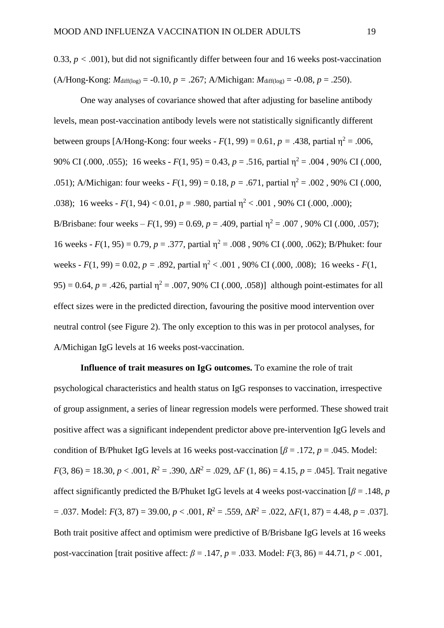One way analyses of covariance showed that after adjusting for baseline antibody levels, mean post-vaccination antibody levels were not statistically significantly different between groups [A/Hong-Kong: four weeks -  $F(1, 99) = 0.61$ ,  $p = .438$ , partial  $\eta^2 = .006$ , 90% CI (.000, .055); 16 weeks -  $F(1, 95) = 0.43$ ,  $p = .516$ , partial  $n^2 = .004$ , 90% CI (.000, .051); A/Michigan: four weeks -  $F(1, 99) = 0.18$ ,  $p = .671$ , partial  $\eta^2 = .002$ , 90% CI (.000, .038); 16 weeks -  $F(1, 94)$  < 0.01,  $p = .980$ , partial  $\eta^2$  < .001, 90% CI (.000, .000); B/Brisbane: four weeks –  $F(1, 99) = 0.69$ ,  $p = .409$ , partial  $\eta^2 = .007$ , 90% CI (.000, .057); 16 weeks -  $F(1, 95) = 0.79$ ,  $p = .377$ , partial  $\eta^2 = .008$ , 90% CI (.000, .062); B/Phuket: four weeks -  $F(1, 99) = 0.02$ ,  $p = .892$ , partial  $\eta^2 < .001$ , 90% CI (.000, .008); 16 weeks -  $F(1, 99)$ 95) = 0.64,  $p = .426$ , partial  $\eta^2 = .007$ , 90% CI (.000, .058)] although point-estimates for all effect sizes were in the predicted direction, favouring the positive mood intervention over neutral control (see Figure 2). The only exception to this was in per protocol analyses, for A/Michigan IgG levels at 16 weeks post-vaccination.

**Influence of trait measures on IgG outcomes.** To examine the role of trait psychological characteristics and health status on IgG responses to vaccination, irrespective of group assignment, a series of linear regression models were performed. These showed trait positive affect was a significant independent predictor above pre-intervention IgG levels and condition of B/Phuket IgG levels at 16 weeks post-vaccination  $\beta$  = .172, *p* = .045. Model: *F*(3, 86) = 18.30, *p* < .001,  $R^2$  = .390,  $\Delta R^2$  = .029,  $\Delta F$  (1, 86) = 4.15, *p* = .045]. Trait negative affect significantly predicted the B/Phuket IgG levels at 4 weeks post-vaccination  $\beta = .148$ , *p*  $= .037$ . Model:  $F(3, 87) = 39.00, p < .001, R^2 = .559, \Delta R^2 = .022, \Delta F(1, 87) = 4.48, p = .037$ . Both trait positive affect and optimism were predictive of B/Brisbane IgG levels at 16 weeks post-vaccination [trait positive affect:  $\beta = .147$ ,  $p = .033$ . Model:  $F(3, 86) = 44.71$ ,  $p < .001$ ,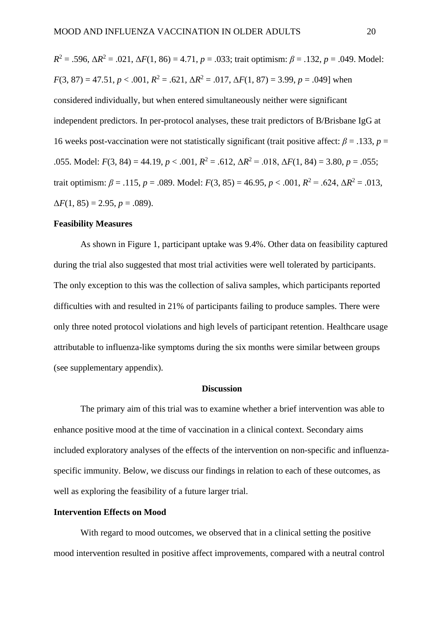*R*<sup>2</sup> = .596, Δ*R*<sup>2</sup> = .021, Δ*F*(1, 86) = 4.71, *p* = .033; trait optimism: *β* = .132, *p* = .049. Model:  $F(3, 87) = 47.51, p < .001, R^2 = .621, \Delta R^2 = .017, \Delta F(1, 87) = 3.99, p = .049$  when considered individually, but when entered simultaneously neither were significant independent predictors. In per-protocol analyses, these trait predictors of B/Brisbane IgG at 16 weeks post-vaccination were not statistically significant (trait positive affect:  $\beta$  = .133, *p* = .055. Model:  $F(3, 84) = 44.19$ ,  $p < .001$ ,  $R^2 = .612$ ,  $\Delta R^2 = .018$ ,  $\Delta F(1, 84) = 3.80$ ,  $p = .055$ ; trait optimism:  $β = .115$ ,  $p = .089$ . Model:  $F(3, 85) = 46.95$ ,  $p < .001$ ,  $R^2 = .624$ ,  $ΔR^2 = .013$ ,  $\Delta F(1, 85) = 2.95, p = .089$ .

## **Feasibility Measures**

As shown in Figure 1, participant uptake was 9.4%. Other data on feasibility captured during the trial also suggested that most trial activities were well tolerated by participants. The only exception to this was the collection of saliva samples, which participants reported difficulties with and resulted in 21% of participants failing to produce samples. There were only three noted protocol violations and high levels of participant retention. Healthcare usage attributable to influenza-like symptoms during the six months were similar between groups (see supplementary appendix).

## **Discussion**

The primary aim of this trial was to examine whether a brief intervention was able to enhance positive mood at the time of vaccination in a clinical context. Secondary aims included exploratory analyses of the effects of the intervention on non-specific and influenzaspecific immunity. Below, we discuss our findings in relation to each of these outcomes, as well as exploring the feasibility of a future larger trial.

# **Intervention Effects on Mood**

With regard to mood outcomes, we observed that in a clinical setting the positive mood intervention resulted in positive affect improvements, compared with a neutral control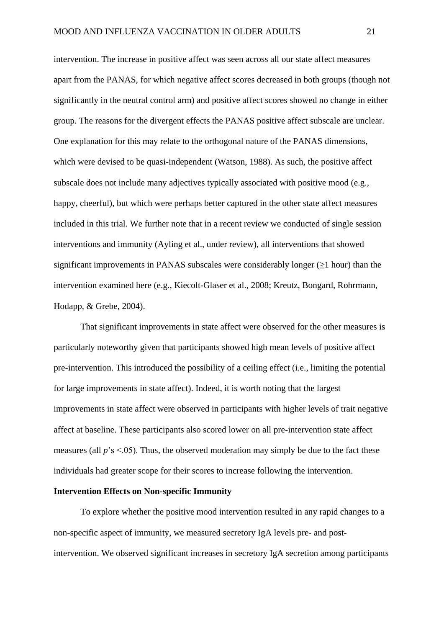intervention. The increase in positive affect was seen across all our state affect measures apart from the PANAS, for which negative affect scores decreased in both groups (though not significantly in the neutral control arm) and positive affect scores showed no change in either group. The reasons for the divergent effects the PANAS positive affect subscale are unclear. One explanation for this may relate to the orthogonal nature of the PANAS dimensions, which were devised to be quasi-independent (Watson, 1988). As such, the positive affect subscale does not include many adjectives typically associated with positive mood (e.g., happy, cheerful), but which were perhaps better captured in the other state affect measures included in this trial. We further note that in a recent review we conducted of single session interventions and immunity (Ayling et al., under review), all interventions that showed significant improvements in PANAS subscales were considerably longer  $(\geq 1$  hour) than the intervention examined here (e.g., Kiecolt-Glaser et al., 2008; Kreutz, Bongard, Rohrmann, Hodapp, & Grebe, 2004).

That significant improvements in state affect were observed for the other measures is particularly noteworthy given that participants showed high mean levels of positive affect pre-intervention. This introduced the possibility of a ceiling effect (i.e., limiting the potential for large improvements in state affect). Indeed, it is worth noting that the largest improvements in state affect were observed in participants with higher levels of trait negative affect at baseline. These participants also scored lower on all pre-intervention state affect measures (all  $p$ 's <.05). Thus, the observed moderation may simply be due to the fact these individuals had greater scope for their scores to increase following the intervention.

### **Intervention Effects on Non-specific Immunity**

To explore whether the positive mood intervention resulted in any rapid changes to a non-specific aspect of immunity, we measured secretory IgA levels pre- and postintervention. We observed significant increases in secretory IgA secretion among participants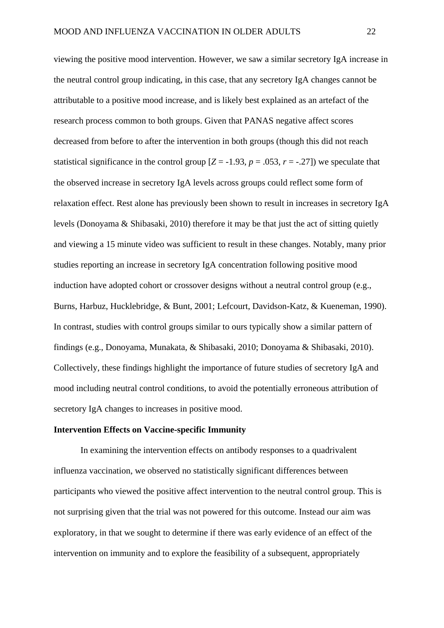viewing the positive mood intervention. However, we saw a similar secretory IgA increase in the neutral control group indicating, in this case, that any secretory IgA changes cannot be attributable to a positive mood increase, and is likely best explained as an artefact of the research process common to both groups. Given that PANAS negative affect scores decreased from before to after the intervention in both groups (though this did not reach statistical significance in the control group  $[Z = -1.93, p = .053, r = -.27]$ ) we speculate that the observed increase in secretory IgA levels across groups could reflect some form of relaxation effect. Rest alone has previously been shown to result in increases in secretory IgA levels (Donoyama & Shibasaki, 2010) therefore it may be that just the act of sitting quietly and viewing a 15 minute video was sufficient to result in these changes. Notably, many prior studies reporting an increase in secretory IgA concentration following positive mood induction have adopted cohort or crossover designs without a neutral control group (e.g., Burns, Harbuz, Hucklebridge, & Bunt, 2001; Lefcourt, Davidson-Katz, & Kueneman, 1990). In contrast, studies with control groups similar to ours typically show a similar pattern of findings (e.g., Donoyama, Munakata, & Shibasaki, 2010; Donoyama & Shibasaki, 2010). Collectively, these findings highlight the importance of future studies of secretory IgA and mood including neutral control conditions, to avoid the potentially erroneous attribution of secretory IgA changes to increases in positive mood.

### **Intervention Effects on Vaccine-specific Immunity**

In examining the intervention effects on antibody responses to a quadrivalent influenza vaccination, we observed no statistically significant differences between participants who viewed the positive affect intervention to the neutral control group. This is not surprising given that the trial was not powered for this outcome. Instead our aim was exploratory, in that we sought to determine if there was early evidence of an effect of the intervention on immunity and to explore the feasibility of a subsequent, appropriately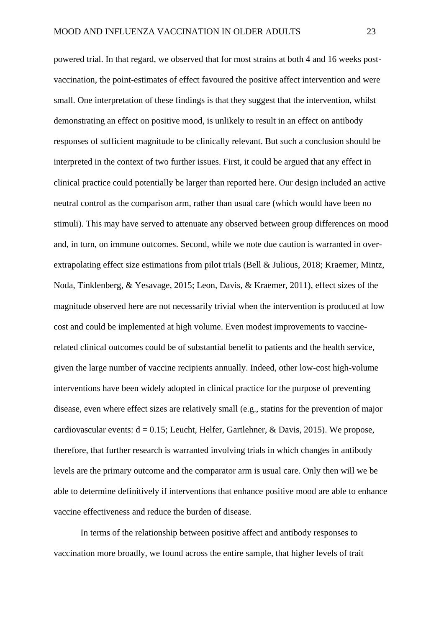powered trial. In that regard, we observed that for most strains at both 4 and 16 weeks postvaccination, the point-estimates of effect favoured the positive affect intervention and were small. One interpretation of these findings is that they suggest that the intervention, whilst demonstrating an effect on positive mood, is unlikely to result in an effect on antibody responses of sufficient magnitude to be clinically relevant. But such a conclusion should be interpreted in the context of two further issues. First, it could be argued that any effect in clinical practice could potentially be larger than reported here. Our design included an active neutral control as the comparison arm, rather than usual care (which would have been no stimuli). This may have served to attenuate any observed between group differences on mood and, in turn, on immune outcomes. Second, while we note due caution is warranted in overextrapolating effect size estimations from pilot trials (Bell & Julious, 2018; Kraemer, Mintz, Noda, Tinklenberg, & Yesavage, 2015; Leon, Davis, & Kraemer, 2011), effect sizes of the magnitude observed here are not necessarily trivial when the intervention is produced at low cost and could be implemented at high volume. Even modest improvements to vaccinerelated clinical outcomes could be of substantial benefit to patients and the health service, given the large number of vaccine recipients annually. Indeed, other low-cost high-volume interventions have been widely adopted in clinical practice for the purpose of preventing disease, even where effect sizes are relatively small (e.g., statins for the prevention of major cardiovascular events:  $d = 0.15$ ; Leucht, Helfer, Gartlehner, & Davis, 2015). We propose, therefore, that further research is warranted involving trials in which changes in antibody levels are the primary outcome and the comparator arm is usual care. Only then will we be able to determine definitively if interventions that enhance positive mood are able to enhance vaccine effectiveness and reduce the burden of disease.

In terms of the relationship between positive affect and antibody responses to vaccination more broadly, we found across the entire sample, that higher levels of trait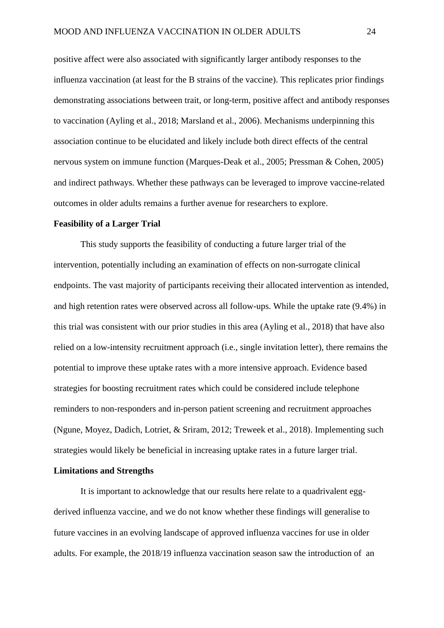positive affect were also associated with significantly larger antibody responses to the influenza vaccination (at least for the B strains of the vaccine). This replicates prior findings demonstrating associations between trait, or long-term, positive affect and antibody responses to vaccination (Ayling et al., 2018; Marsland et al., 2006). Mechanisms underpinning this association continue to be elucidated and likely include both direct effects of the central nervous system on immune function (Marques-Deak et al., 2005; Pressman & Cohen, 2005) and indirect pathways. Whether these pathways can be leveraged to improve vaccine-related outcomes in older adults remains a further avenue for researchers to explore.

## **Feasibility of a Larger Trial**

This study supports the feasibility of conducting a future larger trial of the intervention, potentially including an examination of effects on non-surrogate clinical endpoints. The vast majority of participants receiving their allocated intervention as intended, and high retention rates were observed across all follow-ups. While the uptake rate (9.4%) in this trial was consistent with our prior studies in this area (Ayling et al., 2018) that have also relied on a low-intensity recruitment approach (i.e., single invitation letter), there remains the potential to improve these uptake rates with a more intensive approach. Evidence based strategies for boosting recruitment rates which could be considered include telephone reminders to non-responders and in-person patient screening and recruitment approaches (Ngune, Moyez, Dadich, Lotriet, & Sriram, 2012; Treweek et al., 2018). Implementing such strategies would likely be beneficial in increasing uptake rates in a future larger trial.

### **Limitations and Strengths**

It is important to acknowledge that our results here relate to a quadrivalent eggderived influenza vaccine, and we do not know whether these findings will generalise to future vaccines in an evolving landscape of approved influenza vaccines for use in older adults. For example, the 2018/19 influenza vaccination season saw the introduction of an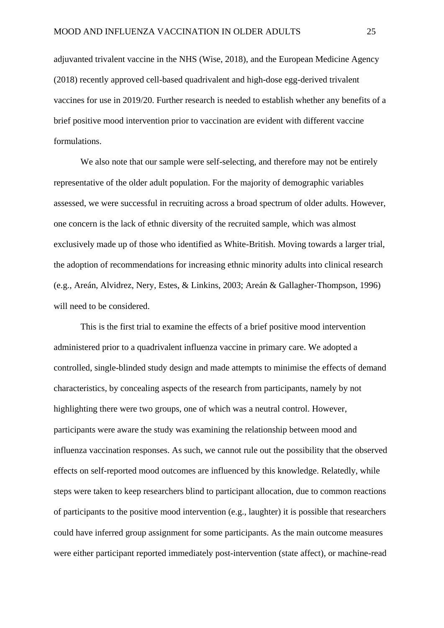adjuvanted trivalent vaccine in the NHS (Wise, 2018), and the European Medicine Agency (2018) recently approved cell-based quadrivalent and high-dose egg-derived trivalent vaccines for use in 2019/20. Further research is needed to establish whether any benefits of a brief positive mood intervention prior to vaccination are evident with different vaccine formulations.

We also note that our sample were self-selecting, and therefore may not be entirely representative of the older adult population. For the majority of demographic variables assessed, we were successful in recruiting across a broad spectrum of older adults. However, one concern is the lack of ethnic diversity of the recruited sample, which was almost exclusively made up of those who identified as White-British. Moving towards a larger trial, the adoption of recommendations for increasing ethnic minority adults into clinical research (e.g., Areán, Alvidrez, Nery, Estes, & Linkins, 2003; Areán & Gallagher-Thompson, 1996) will need to be considered.

This is the first trial to examine the effects of a brief positive mood intervention administered prior to a quadrivalent influenza vaccine in primary care. We adopted a controlled, single-blinded study design and made attempts to minimise the effects of demand characteristics, by concealing aspects of the research from participants, namely by not highlighting there were two groups, one of which was a neutral control. However, participants were aware the study was examining the relationship between mood and influenza vaccination responses. As such, we cannot rule out the possibility that the observed effects on self-reported mood outcomes are influenced by this knowledge. Relatedly, while steps were taken to keep researchers blind to participant allocation, due to common reactions of participants to the positive mood intervention (e.g., laughter) it is possible that researchers could have inferred group assignment for some participants. As the main outcome measures were either participant reported immediately post-intervention (state affect), or machine-read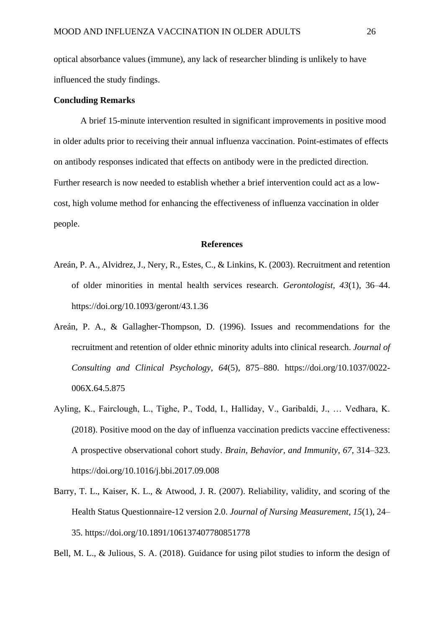optical absorbance values (immune), any lack of researcher blinding is unlikely to have influenced the study findings.

### **Concluding Remarks**

A brief 15-minute intervention resulted in significant improvements in positive mood in older adults prior to receiving their annual influenza vaccination. Point-estimates of effects on antibody responses indicated that effects on antibody were in the predicted direction. Further research is now needed to establish whether a brief intervention could act as a lowcost, high volume method for enhancing the effectiveness of influenza vaccination in older people.

### **References**

- Areán, P. A., Alvidrez, J., Nery, R., Estes, C., & Linkins, K. (2003). Recruitment and retention of older minorities in mental health services research. *Gerontologist*, *43*(1), 36–44. https://doi.org/10.1093/geront/43.1.36
- Areán, P. A., & Gallagher-Thompson, D. (1996). Issues and recommendations for the recruitment and retention of older ethnic minority adults into clinical research. *Journal of Consulting and Clinical Psychology*, *64*(5), 875–880. https://doi.org/10.1037/0022- 006X.64.5.875
- Ayling, K., Fairclough, L., Tighe, P., Todd, I., Halliday, V., Garibaldi, J., … Vedhara, K. (2018). Positive mood on the day of influenza vaccination predicts vaccine effectiveness: A prospective observational cohort study. *Brain, Behavior, and Immunity*, *67*, 314–323. https://doi.org/10.1016/j.bbi.2017.09.008
- Barry, T. L., Kaiser, K. L., & Atwood, J. R. (2007). Reliability, validity, and scoring of the Health Status Questionnaire-12 version 2.0. *Journal of Nursing Measurement*, *15*(1), 24– 35. https://doi.org/10.1891/106137407780851778

Bell, M. L., & Julious, S. A. (2018). Guidance for using pilot studies to inform the design of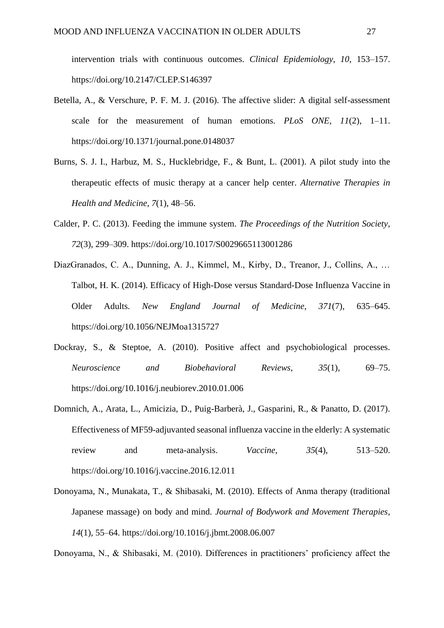intervention trials with continuous outcomes. *Clinical Epidemiology*, *10*, 153–157. https://doi.org/10.2147/CLEP.S146397

- Betella, A., & Verschure, P. F. M. J. (2016). The affective slider: A digital self-assessment scale for the measurement of human emotions. *PLoS ONE*, *11*(2), 1–11. https://doi.org/10.1371/journal.pone.0148037
- Burns, S. J. I., Harbuz, M. S., Hucklebridge, F., & Bunt, L. (2001). A pilot study into the therapeutic effects of music therapy at a cancer help center. *Alternative Therapies in Health and Medicine*, *7*(1), 48–56.
- Calder, P. C. (2013). Feeding the immune system. *The Proceedings of the Nutrition Society*, *72*(3), 299–309. https://doi.org/10.1017/S0029665113001286
- DiazGranados, C. A., Dunning, A. J., Kimmel, M., Kirby, D., Treanor, J., Collins, A., … Talbot, H. K. (2014). Efficacy of High-Dose versus Standard-Dose Influenza Vaccine in Older Adults. *New England Journal of Medicine*, *371*(7), 635–645. https://doi.org/10.1056/NEJMoa1315727
- Dockray, S., & Steptoe, A. (2010). Positive affect and psychobiological processes. *Neuroscience and Biobehavioral Reviews*, *35*(1), 69–75. https://doi.org/10.1016/j.neubiorev.2010.01.006
- Domnich, A., Arata, L., Amicizia, D., Puig-Barberà, J., Gasparini, R., & Panatto, D. (2017). Effectiveness of MF59-adjuvanted seasonal influenza vaccine in the elderly: A systematic review and meta-analysis. *Vaccine*, *35*(4), 513–520. https://doi.org/10.1016/j.vaccine.2016.12.011
- Donoyama, N., Munakata, T., & Shibasaki, M. (2010). Effects of Anma therapy (traditional Japanese massage) on body and mind. *Journal of Bodywork and Movement Therapies*, *14*(1), 55–64. https://doi.org/10.1016/j.jbmt.2008.06.007

Donoyama, N., & Shibasaki, M. (2010). Differences in practitioners' proficiency affect the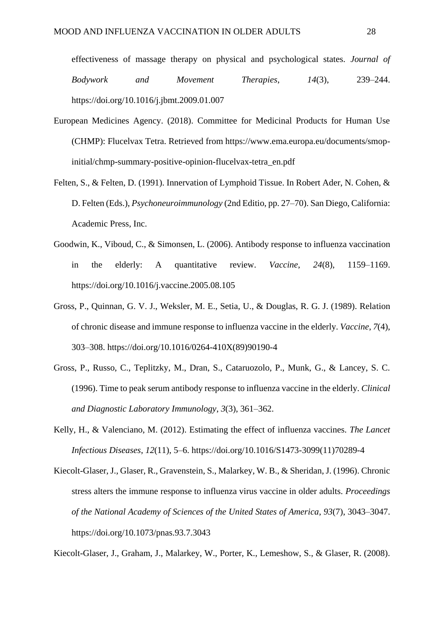effectiveness of massage therapy on physical and psychological states. *Journal of Bodywork and Movement Therapies*, *14*(3), 239–244. https://doi.org/10.1016/j.jbmt.2009.01.007

- European Medicines Agency. (2018). Committee for Medicinal Products for Human Use (CHMP): Flucelvax Tetra. Retrieved from https://www.ema.europa.eu/documents/smopinitial/chmp-summary-positive-opinion-flucelvax-tetra\_en.pdf
- Felten, S., & Felten, D. (1991). Innervation of Lymphoid Tissue. In Robert Ader, N. Cohen, & D. Felten (Eds.), *Psychoneuroimmunology* (2nd Editio, pp. 27–70). San Diego, California: Academic Press, Inc.
- Goodwin, K., Viboud, C., & Simonsen, L. (2006). Antibody response to influenza vaccination in the elderly: A quantitative review. *Vaccine*, *24*(8), 1159–1169. https://doi.org/10.1016/j.vaccine.2005.08.105
- Gross, P., Quinnan, G. V. J., Weksler, M. E., Setia, U., & Douglas, R. G. J. (1989). Relation of chronic disease and immune response to influenza vaccine in the elderly. *Vaccine*, *7*(4), 303–308. https://doi.org/10.1016/0264-410X(89)90190-4
- Gross, P., Russo, C., Teplitzky, M., Dran, S., Cataruozolo, P., Munk, G., & Lancey, S. C. (1996). Time to peak serum antibody response to influenza vaccine in the elderly. *Clinical and Diagnostic Laboratory Immunology*, *3*(3), 361–362.
- Kelly, H., & Valenciano, M. (2012). Estimating the effect of influenza vaccines. *The Lancet Infectious Diseases*, *12*(11), 5–6. https://doi.org/10.1016/S1473-3099(11)70289-4
- Kiecolt-Glaser, J., Glaser, R., Gravenstein, S., Malarkey, W. B., & Sheridan, J. (1996). Chronic stress alters the immune response to influenza virus vaccine in older adults. *Proceedings of the National Academy of Sciences of the United States of America*, *93*(7), 3043–3047. https://doi.org/10.1073/pnas.93.7.3043

Kiecolt-Glaser, J., Graham, J., Malarkey, W., Porter, K., Lemeshow, S., & Glaser, R. (2008).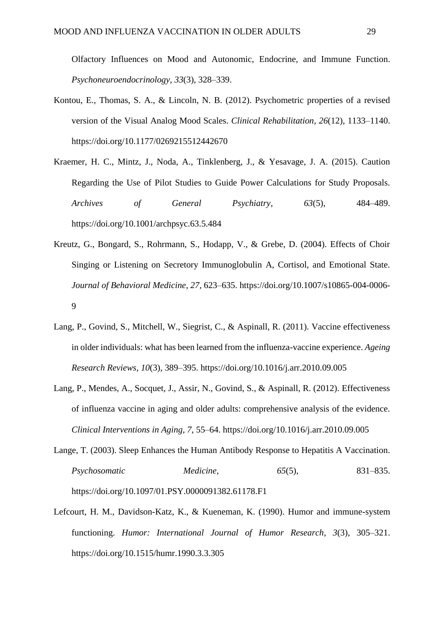Olfactory Influences on Mood and Autonomic, Endocrine, and Immune Function. *Psychoneuroendocrinology*, *33*(3), 328–339.

- Kontou, E., Thomas, S. A., & Lincoln, N. B. (2012). Psychometric properties of a revised version of the Visual Analog Mood Scales. *Clinical Rehabilitation*, *26*(12), 1133–1140. https://doi.org/10.1177/0269215512442670
- Kraemer, H. C., Mintz, J., Noda, A., Tinklenberg, J., & Yesavage, J. A. (2015). Caution Regarding the Use of Pilot Studies to Guide Power Calculations for Study Proposals. *Archives of General Psychiatry*, *63*(5), 484–489. https://doi.org/10.1001/archpsyc.63.5.484
- Kreutz, G., Bongard, S., Rohrmann, S., Hodapp, V., & Grebe, D. (2004). Effects of Choir Singing or Listening on Secretory Immunoglobulin A, Cortisol, and Emotional State. *Journal of Behavioral Medicine*, *27*, 623–635. https://doi.org/10.1007/s10865-004-0006- 9
- Lang, P., Govind, S., Mitchell, W., Siegrist, C., & Aspinall, R. (2011). Vaccine effectiveness in older individuals: what has been learned from the influenza-vaccine experience. *Ageing Research Reviews*, *10*(3), 389–395. https://doi.org/10.1016/j.arr.2010.09.005
- Lang, P., Mendes, A., Socquet, J., Assir, N., Govind, S., & Aspinall, R. (2012). Effectiveness of influenza vaccine in aging and older adults: comprehensive analysis of the evidence. *Clinical Interventions in Aging*, *7*, 55–64. https://doi.org/10.1016/j.arr.2010.09.005
- Lange, T. (2003). Sleep Enhances the Human Antibody Response to Hepatitis A Vaccination. *Psychosomatic Medicine*, *65*(5), 831–835. https://doi.org/10.1097/01.PSY.0000091382.61178.F1
- Lefcourt, H. M., Davidson-Katz, K., & Kueneman, K. (1990). Humor and immune-system functioning. *Humor: International Journal of Humor Research*, *3*(3), 305–321. https://doi.org/10.1515/humr.1990.3.3.305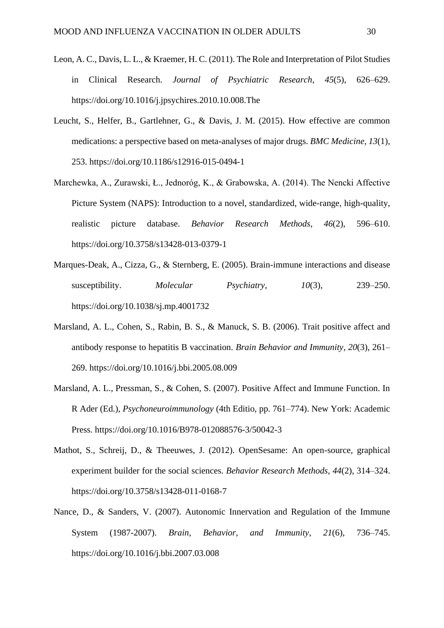- Leon, A. C., Davis, L. L., & Kraemer, H. C. (2011). The Role and Interpretation of Pilot Studies in Clinical Research. *Journal of Psychiatric Research*, *45*(5), 626–629. https://doi.org/10.1016/j.jpsychires.2010.10.008.The
- Leucht, S., Helfer, B., Gartlehner, G., & Davis, J. M. (2015). How effective are common medications: a perspective based on meta-analyses of major drugs. *BMC Medicine*, *13*(1), 253. https://doi.org/10.1186/s12916-015-0494-1
- Marchewka, A., Zurawski, Ł., Jednoróg, K., & Grabowska, A. (2014). The Nencki Affective Picture System (NAPS): Introduction to a novel, standardized, wide-range, high-quality, realistic picture database. *Behavior Research Methods*, *46*(2), 596–610. https://doi.org/10.3758/s13428-013-0379-1
- Marques-Deak, A., Cizza, G., & Sternberg, E. (2005). Brain-immune interactions and disease susceptibility. *Molecular Psychiatry*, *10*(3), 239–250. https://doi.org/10.1038/sj.mp.4001732
- Marsland, A. L., Cohen, S., Rabin, B. S., & Manuck, S. B. (2006). Trait positive affect and antibody response to hepatitis B vaccination. *Brain Behavior and Immunity*, *20*(3), 261– 269. https://doi.org/10.1016/j.bbi.2005.08.009
- Marsland, A. L., Pressman, S., & Cohen, S. (2007). Positive Affect and Immune Function. In R Ader (Ed.), *Psychoneuroimmunology* (4th Editio, pp. 761–774). New York: Academic Press. https://doi.org/10.1016/B978-012088576-3/50042-3
- Mathot, S., Schreij, D., & Theeuwes, J. (2012). OpenSesame: An open-source, graphical experiment builder for the social sciences. *Behavior Research Methods*, *44*(2), 314–324. https://doi.org/10.3758/s13428-011-0168-7
- Nance, D., & Sanders, V. (2007). Autonomic Innervation and Regulation of the Immune System (1987-2007). *Brain, Behavior, and Immunity*, *21*(6), 736–745. https://doi.org/10.1016/j.bbi.2007.03.008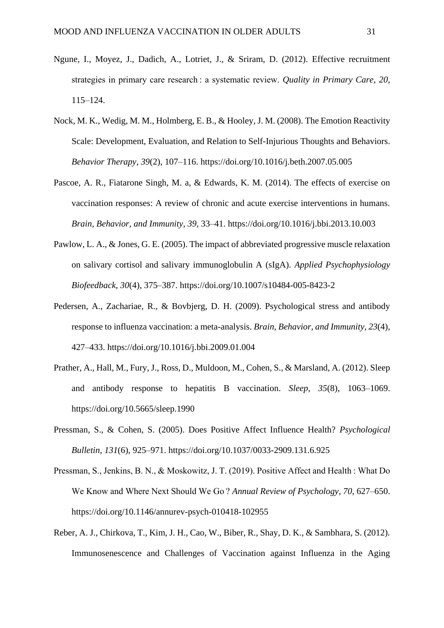- Ngune, I., Moyez, J., Dadich, A., Lotriet, J., & Sriram, D. (2012). Effective recruitment strategies in primary care research : a systematic review. *Quality in Primary Care*, *20*, 115–124.
- Nock, M. K., Wedig, M. M., Holmberg, E. B., & Hooley, J. M. (2008). The Emotion Reactivity Scale: Development, Evaluation, and Relation to Self-Injurious Thoughts and Behaviors. *Behavior Therapy*, *39*(2), 107–116. https://doi.org/10.1016/j.beth.2007.05.005
- Pascoe, A. R., Fiatarone Singh, M. a, & Edwards, K. M. (2014). The effects of exercise on vaccination responses: A review of chronic and acute exercise interventions in humans. *Brain, Behavior, and Immunity*, *39*, 33–41. https://doi.org/10.1016/j.bbi.2013.10.003
- Pawlow, L. A., & Jones, G. E. (2005). The impact of abbreviated progressive muscle relaxation on salivary cortisol and salivary immunoglobulin A (sIgA). *Applied Psychophysiology Biofeedback*, *30*(4), 375–387. https://doi.org/10.1007/s10484-005-8423-2
- Pedersen, A., Zachariae, R., & Bovbjerg, D. H. (2009). Psychological stress and antibody response to influenza vaccination: a meta-analysis. *Brain, Behavior, and Immunity*, *23*(4), 427–433. https://doi.org/10.1016/j.bbi.2009.01.004
- Prather, A., Hall, M., Fury, J., Ross, D., Muldoon, M., Cohen, S., & Marsland, A. (2012). Sleep and antibody response to hepatitis B vaccination. *Sleep*, *35*(8), 1063–1069. https://doi.org/10.5665/sleep.1990
- Pressman, S., & Cohen, S. (2005). Does Positive Affect Influence Health? *Psychological Bulletin*, *131*(6), 925–971. https://doi.org/10.1037/0033-2909.131.6.925
- Pressman, S., Jenkins, B. N., & Moskowitz, J. T. (2019). Positive Affect and Health : What Do We Know and Where Next Should We Go ? *Annual Review of Psychology*, *70*, 627–650. https://doi.org/10.1146/annurev-psych-010418-102955
- Reber, A. J., Chirkova, T., Kim, J. H., Cao, W., Biber, R., Shay, D. K., & Sambhara, S. (2012). Immunosenescence and Challenges of Vaccination against Influenza in the Aging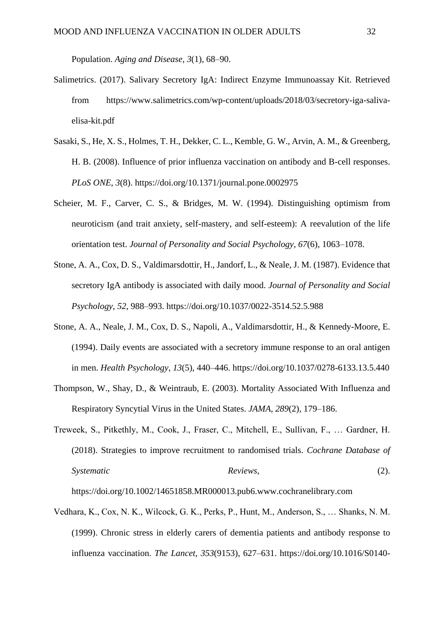Population. *Aging and Disease*, *3*(1), 68–90.

- Salimetrics. (2017). Salivary Secretory IgA: Indirect Enzyme Immunoassay Kit. Retrieved from https://www.salimetrics.com/wp-content/uploads/2018/03/secretory-iga-salivaelisa-kit.pdf
- Sasaki, S., He, X. S., Holmes, T. H., Dekker, C. L., Kemble, G. W., Arvin, A. M., & Greenberg, H. B. (2008). Influence of prior influenza vaccination on antibody and B-cell responses. *PLoS ONE*, *3*(8). https://doi.org/10.1371/journal.pone.0002975
- Scheier, M. F., Carver, C. S., & Bridges, M. W. (1994). Distinguishing optimism from neuroticism (and trait anxiety, self-mastery, and self-esteem): A reevalution of the life orientation test. *Journal of Personality and Social Psychology*, *67*(6), 1063–1078.
- Stone, A. A., Cox, D. S., Valdimarsdottir, H., Jandorf, L., & Neale, J. M. (1987). Evidence that secretory IgA antibody is associated with daily mood. *Journal of Personality and Social Psychology*, *52*, 988–993. https://doi.org/10.1037/0022-3514.52.5.988
- Stone, A. A., Neale, J. M., Cox, D. S., Napoli, A., Valdimarsdottir, H., & Kennedy-Moore, E. (1994). Daily events are associated with a secretory immune response to an oral antigen in men. *Health Psychology*, *13*(5), 440–446. https://doi.org/10.1037/0278-6133.13.5.440
- Thompson, W., Shay, D., & Weintraub, E. (2003). Mortality Associated With Influenza and Respiratory Syncytial Virus in the United States. *JAMA*, *289*(2), 179–186.
- Treweek, S., Pitkethly, M., Cook, J., Fraser, C., Mitchell, E., Sullivan, F., … Gardner, H. (2018). Strategies to improve recruitment to randomised trials. *Cochrane Database of Systematic Reviews*, (2).

https://doi.org/10.1002/14651858.MR000013.pub6.www.cochranelibrary.com

Vedhara, K., Cox, N. K., Wilcock, G. K., Perks, P., Hunt, M., Anderson, S., … Shanks, N. M. (1999). Chronic stress in elderly carers of dementia patients and antibody response to influenza vaccination. *The Lancet*, *353*(9153), 627–631. https://doi.org/10.1016/S0140-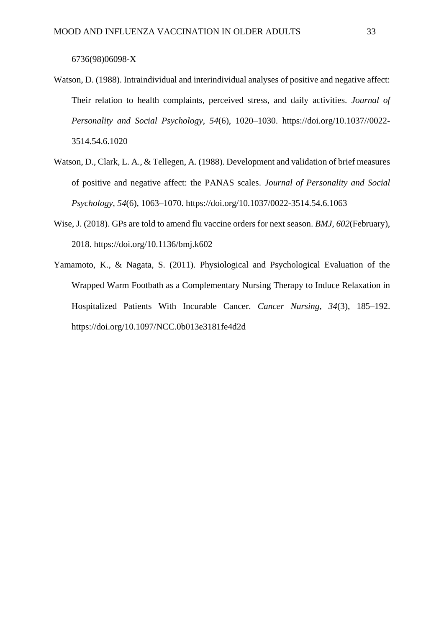### 6736(98)06098-X

- Watson, D. (1988). Intraindividual and interindividual analyses of positive and negative affect: Their relation to health complaints, perceived stress, and daily activities. *Journal of Personality and Social Psychology*, *54*(6), 1020–1030. https://doi.org/10.1037//0022- 3514.54.6.1020
- Watson, D., Clark, L. A., & Tellegen, A. (1988). Development and validation of brief measures of positive and negative affect: the PANAS scales. *Journal of Personality and Social Psychology*, *54*(6), 1063–1070. https://doi.org/10.1037/0022-3514.54.6.1063
- Wise, J. (2018). GPs are told to amend flu vaccine orders for next season. *BMJ*, *602*(February), 2018. https://doi.org/10.1136/bmj.k602
- Yamamoto, K., & Nagata, S. (2011). Physiological and Psychological Evaluation of the Wrapped Warm Footbath as a Complementary Nursing Therapy to Induce Relaxation in Hospitalized Patients With Incurable Cancer. *Cancer Nursing*, *34*(3), 185–192. https://doi.org/10.1097/NCC.0b013e3181fe4d2d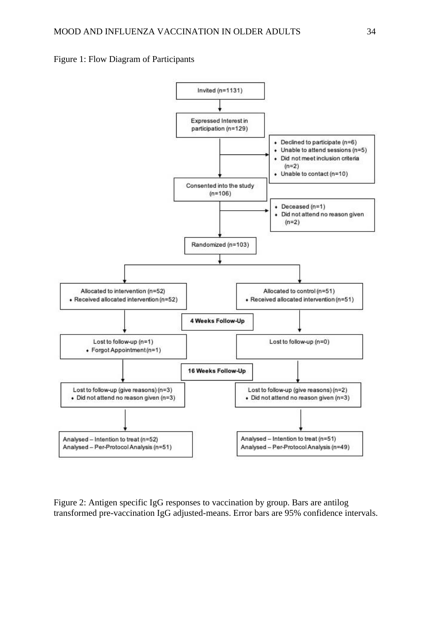



Figure 2: Antigen specific IgG responses to vaccination by group. Bars are antilog transformed pre-vaccination IgG adjusted-means. Error bars are 95% confidence intervals.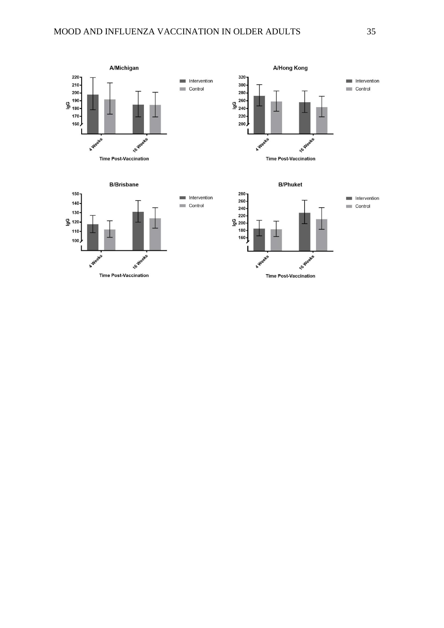





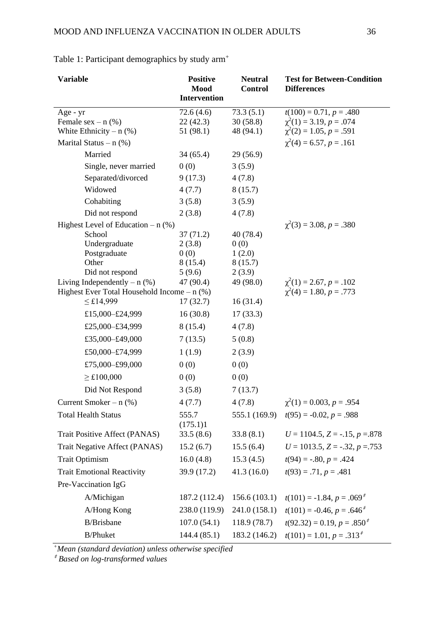| Variable                                      | <b>Positive</b><br><b>Neutral</b><br>Mood<br><b>Control</b> |               | <b>Test for Between-Condition</b><br><b>Differences</b> |  |
|-----------------------------------------------|-------------------------------------------------------------|---------------|---------------------------------------------------------|--|
|                                               | <b>Intervention</b>                                         |               |                                                         |  |
| Age - yr                                      | 72.6(4.6)                                                   | 73.3(5.1)     | $t(100) = 0.71, p = .480$                               |  |
| Female $sex - n$ (%)                          | 22(42.3)                                                    | 30(58.8)      | $\chi^2(1) = 3.19, p = .074$                            |  |
| White Ethnicity $- n$ (%)                     | 51 (98.1)                                                   | 48 (94.1)     | $\chi^2(2) = 1.05, p = .591$                            |  |
| Marital Status $- n$ (%)                      |                                                             |               | $\chi^2(4) = 6.57, p = .161$                            |  |
| Married                                       | 34(65.4)                                                    | 29 (56.9)     |                                                         |  |
| Single, never married                         | 0(0)                                                        | 3(5.9)        |                                                         |  |
| Separated/divorced                            | 9(17.3)                                                     | 4(7.8)        |                                                         |  |
| Widowed                                       | 4(7.7)                                                      | 8(15.7)       |                                                         |  |
| Cohabiting                                    | 3(5.8)                                                      | 3(5.9)        |                                                         |  |
| Did not respond                               | 2(3.8)                                                      | 4(7.8)        |                                                         |  |
| Highest Level of Education $- n$ (%)          |                                                             |               | $\chi^2(3) = 3.08, p = .380$                            |  |
| School                                        | 37(71.2)                                                    | 40 (78.4)     |                                                         |  |
| Undergraduate                                 | 2(3.8)                                                      | 0(0)          |                                                         |  |
| Postgraduate                                  | 0(0)                                                        | 1(2.0)        |                                                         |  |
| Other                                         | 8(15.4)                                                     | 8(15.7)       |                                                         |  |
| Did not respond                               | 5(9.6)                                                      | 2(3.9)        |                                                         |  |
| Living Independently $- n$ (%)                | 47 (90.4)                                                   | 49 (98.0)     | $\chi^2(1) = 2.67, p = .102$                            |  |
| Highest Ever Total Household Income $- n$ (%) |                                                             |               | $\chi^2(4) = 1.80, p = .773$                            |  |
| $\leq$ £14,999                                | 17(32.7)                                                    | 16(31.4)      |                                                         |  |
| £15,000-£24,999                               | 16(30.8)                                                    | 17(33.3)      |                                                         |  |
| £25,000-£34,999                               | 8(15.4)                                                     | 4(7.8)        |                                                         |  |
| £35,000-£49,000                               | 7(13.5)                                                     | 5(0.8)        |                                                         |  |
| £50,000-£74,999                               | 1(1.9)                                                      | 2(3.9)        |                                                         |  |
| £75,000-£99,000                               | 0(0)                                                        | 0(0)          |                                                         |  |
| $\geq$ £100,000                               | 0(0)                                                        | 0(0)          |                                                         |  |
| Did Not Respond                               | 3(5.8)                                                      | 7(13.7)       |                                                         |  |
| Current Smoker $- n$ (%)                      | 4(7.7)                                                      | 4(7.8)        | $\chi^2(1) = 0.003, p = .954$                           |  |
| <b>Total Health Status</b>                    | 555.7                                                       |               | 555.1 (169.9) $t(95) = -0.02$ , $p = .988$              |  |
|                                               | (175.1)1                                                    |               |                                                         |  |
| Trait Positive Affect (PANAS)                 | 33.5(8.6)                                                   | 33.8(8.1)     | $U = 1104.5, Z = -.15, p = .878$                        |  |
| Trait Negative Affect (PANAS)                 | 15.2(6.7)                                                   | 15.5(6.4)     | $U = 1013.5, Z = -.32, p = .753$                        |  |
| <b>Trait Optimism</b>                         | 16.0(4.8)                                                   | 15.3(4.5)     | $t(94) = -.80, p = .424$                                |  |
| <b>Trait Emotional Reactivity</b>             | 39.9 (17.2)                                                 | 41.3(16.0)    | $t(93) = .71, p = .481$                                 |  |
| Pre-Vaccination IgG                           |                                                             |               |                                                         |  |
| A/Michigan                                    | 187.2 (112.4)                                               | 156.6(103.1)  | $t(101) = -1.84, p = .069^{\text{*}}$                   |  |
| A/Hong Kong                                   | 238.0 (119.9)                                               | 241.0 (158.1) | $t(101) = -0.46, p = .646^{\text{*}}$                   |  |
| B/Brisbane                                    | 107.0(54.1)                                                 | 118.9 (78.7)  | $t(92.32) = 0.19, p = .850^{\frac{1}{5}}$               |  |
| <b>B/Phuket</b>                               | 144.4 (85.1)                                                | 183.2 (146.2) | $t(101) = 1.01, p = .3132$                              |  |

Table 1: Participant demographics by study arm<sup>+</sup>

*<sup>+</sup>Mean (standard deviation) unless otherwise specified*

‡ *Based on log-transformed values*